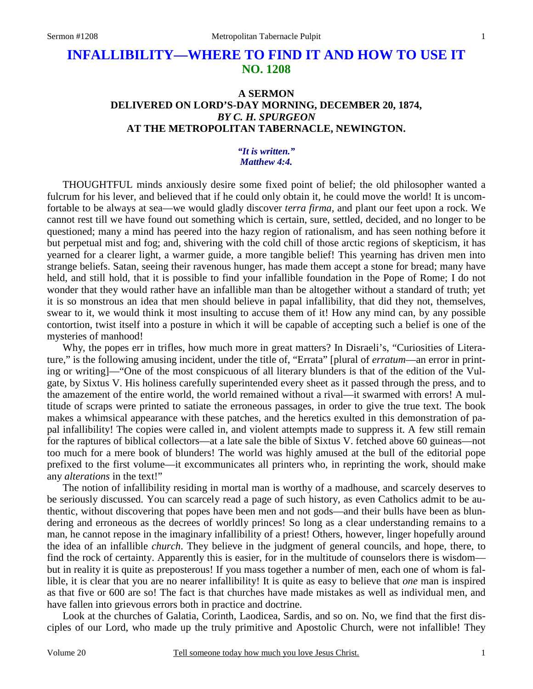# **INFALLIBILITY—WHERE TO FIND IT AND HOW TO USE IT NO. 1208**

## **A SERMON DELIVERED ON LORD'S-DAY MORNING, DECEMBER 20, 1874,** *BY C. H. SPURGEON*  **AT THE METROPOLITAN TABERNACLE, NEWINGTON.**

#### *"It is written." Matthew 4:4.*

THOUGHTFUL minds anxiously desire some fixed point of belief; the old philosopher wanted a fulcrum for his lever, and believed that if he could only obtain it, he could move the world! It is uncomfortable to be always at sea—we would gladly discover *terra firma,* and plant our feet upon a rock. We cannot rest till we have found out something which is certain, sure, settled, decided, and no longer to be questioned; many a mind has peered into the hazy region of rationalism, and has seen nothing before it but perpetual mist and fog; and, shivering with the cold chill of those arctic regions of skepticism, it has yearned for a clearer light, a warmer guide, a more tangible belief! This yearning has driven men into strange beliefs. Satan, seeing their ravenous hunger, has made them accept a stone for bread; many have held, and still hold, that it is possible to find your infallible foundation in the Pope of Rome; I do not wonder that they would rather have an infallible man than be altogether without a standard of truth; yet it is so monstrous an idea that men should believe in papal infallibility, that did they not, themselves, swear to it, we would think it most insulting to accuse them of it! How any mind can, by any possible contortion, twist itself into a posture in which it will be capable of accepting such a belief is one of the mysteries of manhood!

Why, the popes err in trifles, how much more in great matters? In Disraeli's, "Curiosities of Literature," is the following amusing incident, under the title of, "Errata" [plural of *erratum*—an error in printing or writing]—"One of the most conspicuous of all literary blunders is that of the edition of the Vulgate, by Sixtus V. His holiness carefully superintended every sheet as it passed through the press, and to the amazement of the entire world, the world remained without a rival—it swarmed with errors! A multitude of scraps were printed to satiate the erroneous passages, in order to give the true text. The book makes a whimsical appearance with these patches, and the heretics exulted in this demonstration of papal infallibility! The copies were called in, and violent attempts made to suppress it. A few still remain for the raptures of biblical collectors—at a late sale the bible of Sixtus V. fetched above 60 guineas—not too much for a mere book of blunders! The world was highly amused at the bull of the editorial pope prefixed to the first volume—it excommunicates all printers who, in reprinting the work, should make any *alterations* in the text!"

The notion of infallibility residing in mortal man is worthy of a madhouse, and scarcely deserves to be seriously discussed. You can scarcely read a page of such history, as even Catholics admit to be authentic, without discovering that popes have been men and not gods—and their bulls have been as blundering and erroneous as the decrees of worldly princes! So long as a clear understanding remains to a man, he cannot repose in the imaginary infallibility of a priest! Others, however, linger hopefully around the idea of an infallible *church*. They believe in the judgment of general councils, and hope, there, to find the rock of certainty. Apparently this is easier, for in the multitude of counselors there is wisdom but in reality it is quite as preposterous! If you mass together a number of men, each one of whom is fallible, it is clear that you are no nearer infallibility! It is quite as easy to believe that *one* man is inspired as that five or 600 are so! The fact is that churches have made mistakes as well as individual men, and have fallen into grievous errors both in practice and doctrine.

Look at the churches of Galatia, Corinth, Laodicea, Sardis, and so on. No, we find that the first disciples of our Lord, who made up the truly primitive and Apostolic Church, were not infallible! They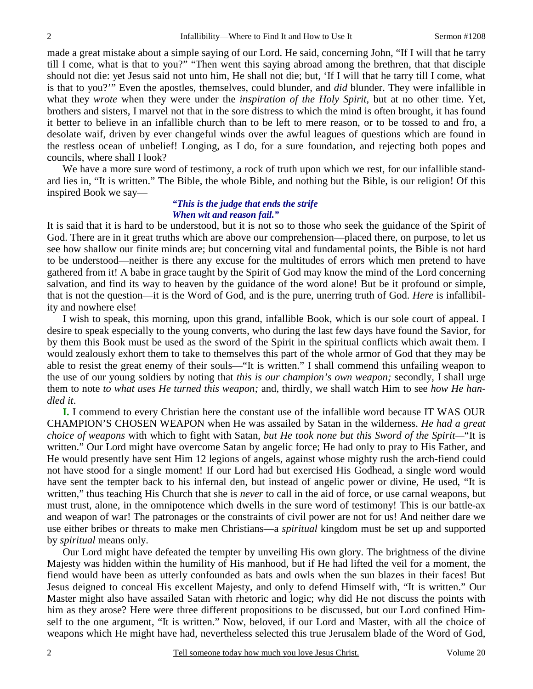made a great mistake about a simple saying of our Lord. He said, concerning John, "If I will that he tarry till I come, what is that to you?" "Then went this saying abroad among the brethren, that that disciple should not die: yet Jesus said not unto him, He shall not die; but, 'If I will that he tarry till I come, what is that to you?'" Even the apostles, themselves, could blunder, and *did* blunder. They were infallible in what they *wrote* when they were under the *inspiration of the Holy Spirit*, but at no other time. Yet, brothers and sisters, I marvel not that in the sore distress to which the mind is often brought, it has found it better to believe in an infallible church than to be left to mere reason, or to be tossed to and fro, a desolate waif, driven by ever changeful winds over the awful leagues of questions which are found in the restless ocean of unbelief! Longing, as I do, for a sure foundation, and rejecting both popes and councils, where shall I look?

We have a more sure word of testimony, a rock of truth upon which we rest, for our infallible standard lies in, "It is written." The Bible, the whole Bible, and nothing but the Bible, is our religion! Of this inspired Book we say—

#### *"This is the judge that ends the strife When wit and reason fail."*

It is said that it is hard to be understood, but it is not so to those who seek the guidance of the Spirit of God. There are in it great truths which are above our comprehension—placed there, on purpose, to let us see how shallow our finite minds are; but concerning vital and fundamental points, the Bible is not hard to be understood—neither is there any excuse for the multitudes of errors which men pretend to have gathered from it! A babe in grace taught by the Spirit of God may know the mind of the Lord concerning salvation, and find its way to heaven by the guidance of the word alone! But be it profound or simple, that is not the question—it is the Word of God, and is the pure, unerring truth of God. *Here* is infallibility and nowhere else!

I wish to speak, this morning, upon this grand, infallible Book, which is our sole court of appeal. I desire to speak especially to the young converts, who during the last few days have found the Savior, for by them this Book must be used as the sword of the Spirit in the spiritual conflicts which await them. I would zealously exhort them to take to themselves this part of the whole armor of God that they may be able to resist the great enemy of their souls—"It is written." I shall commend this unfailing weapon to the use of our young soldiers by noting that *this is our champion's own weapon;* secondly, I shall urge them to note *to what uses He turned this weapon;* and, thirdly, we shall watch Him to see *how He handled it*.

**I.** I commend to every Christian here the constant use of the infallible word because IT WAS OUR CHAMPION'S CHOSEN WEAPON when He was assailed by Satan in the wilderness. *He had a great choice of weapons* with which to fight with Satan, *but He took none but this Sword of the Spirit—*"It is written." Our Lord might have overcome Satan by angelic force; He had only to pray to His Father, and He would presently have sent Him 12 legions of angels, against whose mighty rush the arch-fiend could not have stood for a single moment! If our Lord had but exercised His Godhead, a single word would have sent the tempter back to his infernal den, but instead of angelic power or divine, He used, "It is written," thus teaching His Church that she is *never* to call in the aid of force, or use carnal weapons, but must trust, alone, in the omnipotence which dwells in the sure word of testimony! This is our battle-ax and weapon of war! The patronages or the constraints of civil power are not for us! And neither dare we use either bribes or threats to make men Christians—a *spiritual* kingdom must be set up and supported by *spiritual* means only.

Our Lord might have defeated the tempter by unveiling His own glory. The brightness of the divine Majesty was hidden within the humility of His manhood, but if He had lifted the veil for a moment, the fiend would have been as utterly confounded as bats and owls when the sun blazes in their faces! But Jesus deigned to conceal His excellent Majesty, and only to defend Himself with, "It is written." Our Master might also have assailed Satan with rhetoric and logic; why did He not discuss the points with him as they arose? Here were three different propositions to be discussed, but our Lord confined Himself to the one argument, "It is written." Now, beloved, if our Lord and Master, with all the choice of weapons which He might have had, nevertheless selected this true Jerusalem blade of the Word of God,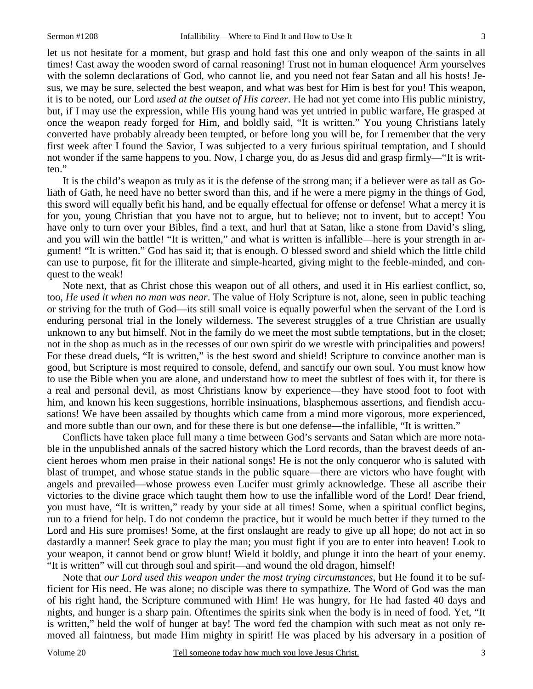let us not hesitate for a moment, but grasp and hold fast this one and only weapon of the saints in all times! Cast away the wooden sword of carnal reasoning! Trust not in human eloquence! Arm yourselves with the solemn declarations of God, who cannot lie, and you need not fear Satan and all his hosts! Jesus, we may be sure, selected the best weapon, and what was best for Him is best for you! This weapon, it is to be noted, our Lord *used at the outset of His career*. He had not yet come into His public ministry, but, if I may use the expression, while His young hand was yet untried in public warfare, He grasped at once the weapon ready forged for Him, and boldly said, "It is written." You young Christians lately converted have probably already been tempted, or before long you will be, for I remember that the very first week after I found the Savior, I was subjected to a very furious spiritual temptation, and I should not wonder if the same happens to you. Now, I charge you, do as Jesus did and grasp firmly—"It is written."

It is the child's weapon as truly as it is the defense of the strong man; if a believer were as tall as Goliath of Gath, he need have no better sword than this, and if he were a mere pigmy in the things of God, this sword will equally befit his hand, and be equally effectual for offense or defense! What a mercy it is for you, young Christian that you have not to argue, but to believe; not to invent, but to accept! You have only to turn over your Bibles, find a text, and hurl that at Satan, like a stone from David's sling, and you will win the battle! "It is written," and what is written is infallible—here is your strength in argument! "It is written." God has said it; that is enough. O blessed sword and shield which the little child can use to purpose, fit for the illiterate and simple-hearted, giving might to the feeble-minded, and conquest to the weak!

Note next, that as Christ chose this weapon out of all others, and used it in His earliest conflict, so, too, *He used it when no man was near*. The value of Holy Scripture is not, alone, seen in public teaching or striving for the truth of God—its still small voice is equally powerful when the servant of the Lord is enduring personal trial in the lonely wilderness. The severest struggles of a true Christian are usually unknown to any but himself. Not in the family do we meet the most subtle temptations, but in the closet; not in the shop as much as in the recesses of our own spirit do we wrestle with principalities and powers! For these dread duels, "It is written," is the best sword and shield! Scripture to convince another man is good, but Scripture is most required to console, defend, and sanctify our own soul. You must know how to use the Bible when you are alone, and understand how to meet the subtlest of foes with it, for there is a real and personal devil, as most Christians know by experience—they have stood foot to foot with him, and known his keen suggestions, horrible insinuations, blasphemous assertions, and fiendish accusations! We have been assailed by thoughts which came from a mind more vigorous, more experienced, and more subtle than our own, and for these there is but one defense—the infallible, "It is written."

Conflicts have taken place full many a time between God's servants and Satan which are more notable in the unpublished annals of the sacred history which the Lord records, than the bravest deeds of ancient heroes whom men praise in their national songs! He is not the only conqueror who is saluted with blast of trumpet, and whose statue stands in the public square—there are victors who have fought with angels and prevailed—whose prowess even Lucifer must grimly acknowledge. These all ascribe their victories to the divine grace which taught them how to use the infallible word of the Lord! Dear friend, you must have, "It is written," ready by your side at all times! Some, when a spiritual conflict begins, run to a friend for help. I do not condemn the practice, but it would be much better if they turned to the Lord and His sure promises! Some, at the first onslaught are ready to give up all hope; do not act in so dastardly a manner! Seek grace to play the man; you must fight if you are to enter into heaven! Look to your weapon, it cannot bend or grow blunt! Wield it boldly, and plunge it into the heart of your enemy. "It is written" will cut through soul and spirit—and wound the old dragon, himself!

Note that *our Lord used this weapon under the most trying circumstances*, but He found it to be sufficient for His need. He was alone; no disciple was there to sympathize. The Word of God was the man of his right hand, the Scripture communed with Him! He was hungry, for He had fasted 40 days and nights, and hunger is a sharp pain. Oftentimes the spirits sink when the body is in need of food. Yet, "It is written," held the wolf of hunger at bay! The word fed the champion with such meat as not only removed all faintness, but made Him mighty in spirit! He was placed by his adversary in a position of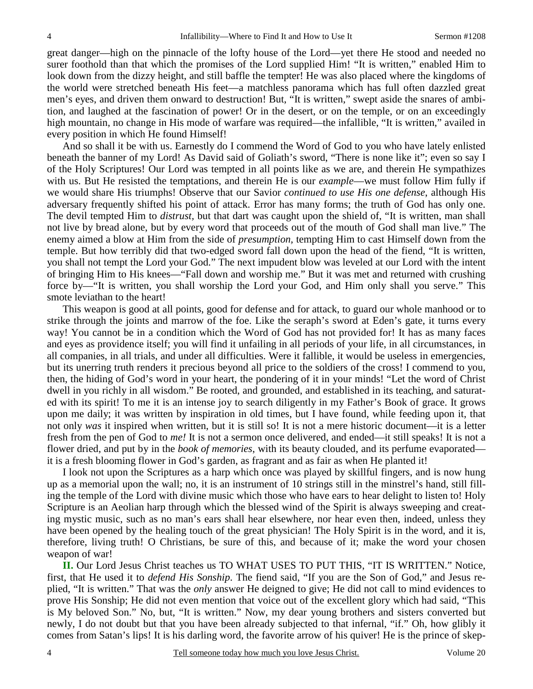great danger—high on the pinnacle of the lofty house of the Lord—yet there He stood and needed no surer foothold than that which the promises of the Lord supplied Him! "It is written," enabled Him to look down from the dizzy height, and still baffle the tempter! He was also placed where the kingdoms of the world were stretched beneath His feet—a matchless panorama which has full often dazzled great men's eyes, and driven them onward to destruction! But, "It is written," swept aside the snares of ambition, and laughed at the fascination of power! Or in the desert, or on the temple, or on an exceedingly high mountain, no change in His mode of warfare was required—the infallible, "It is written," availed in every position in which He found Himself!

And so shall it be with us. Earnestly do I commend the Word of God to you who have lately enlisted beneath the banner of my Lord! As David said of Goliath's sword, "There is none like it"; even so say I of the Holy Scriptures! Our Lord was tempted in all points like as we are, and therein He sympathizes with us. But He resisted the temptations, and therein He is our *example*—we must follow Him fully if we would share His triumphs! Observe that our Savior *continued to use His one defense*, although His adversary frequently shifted his point of attack. Error has many forms; the truth of God has only one. The devil tempted Him to *distrust,* but that dart was caught upon the shield of, "It is written, man shall not live by bread alone, but by every word that proceeds out of the mouth of God shall man live." The enemy aimed a blow at Him from the side of *presumption,* tempting Him to cast Himself down from the temple. But how terribly did that two-edged sword fall down upon the head of the fiend, "It is written, you shall not tempt the Lord your God." The next impudent blow was leveled at our Lord with the intent of bringing Him to His knees—"Fall down and worship me." But it was met and returned with crushing force by—"It is written, you shall worship the Lord your God, and Him only shall you serve." This smote leviathan to the heart!

This weapon is good at all points, good for defense and for attack, to guard our whole manhood or to strike through the joints and marrow of the foe. Like the seraph's sword at Eden's gate, it turns every way! You cannot be in a condition which the Word of God has not provided for! It has as many faces and eyes as providence itself; you will find it unfailing in all periods of your life, in all circumstances, in all companies, in all trials, and under all difficulties. Were it fallible, it would be useless in emergencies, but its unerring truth renders it precious beyond all price to the soldiers of the cross! I commend to you, then, the hiding of God's word in your heart, the pondering of it in your minds! "Let the word of Christ dwell in you richly in all wisdom." Be rooted, and grounded, and established in its teaching, and saturated with its spirit! To me it is an intense joy to search diligently in my Father's Book of grace. It grows upon me daily; it was written by inspiration in old times, but I have found, while feeding upon it, that not only *was* it inspired when written, but it is still so! It is not a mere historic document—it is a letter fresh from the pen of God to *me!* It is not a sermon once delivered, and ended—it still speaks! It is not a flower dried, and put by in the *book of memories*, with its beauty clouded, and its perfume evaporated it is a fresh blooming flower in God's garden, as fragrant and as fair as when He planted it!

I look not upon the Scriptures as a harp which once was played by skillful fingers, and is now hung up as a memorial upon the wall; no, it is an instrument of 10 strings still in the minstrel's hand, still filling the temple of the Lord with divine music which those who have ears to hear delight to listen to! Holy Scripture is an Aeolian harp through which the blessed wind of the Spirit is always sweeping and creating mystic music, such as no man's ears shall hear elsewhere, nor hear even then, indeed, unless they have been opened by the healing touch of the great physician! The Holy Spirit is in the word, and it is, therefore, living truth! O Christians, be sure of this, and because of it; make the word your chosen weapon of war!

**II.** Our Lord Jesus Christ teaches us TO WHAT USES TO PUT THIS, "IT IS WRITTEN." Notice, first, that He used it to *defend His Sonship*. The fiend said, "If you are the Son of God," and Jesus replied, "It is written." That was the *only* answer He deigned to give; He did not call to mind evidences to prove His Sonship; He did not even mention that voice out of the excellent glory which had said, "This is My beloved Son." No, but, "It is written." Now, my dear young brothers and sisters converted but newly, I do not doubt but that you have been already subjected to that infernal, "if." Oh, how glibly it comes from Satan's lips! It is his darling word, the favorite arrow of his quiver! He is the prince of skep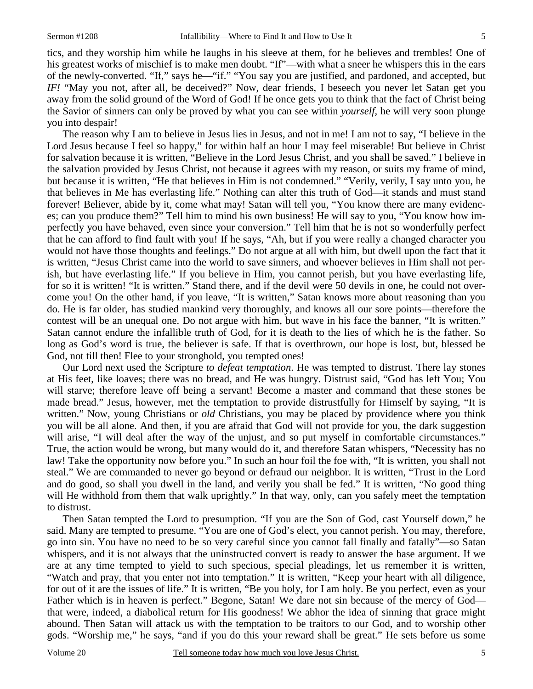tics, and they worship him while he laughs in his sleeve at them, for he believes and trembles! One of his greatest works of mischief is to make men doubt. "If"—with what a sneer he whispers this in the ears of the newly-converted. "If," says he—"if." "You say you are justified, and pardoned, and accepted, but *IF!* "May you not, after all, be deceived?" Now, dear friends, I beseech you never let Satan get you away from the solid ground of the Word of God! If he once gets you to think that the fact of Christ being the Savior of sinners can only be proved by what you can see within *yourself,* he will very soon plunge you into despair!

The reason why I am to believe in Jesus lies in Jesus, and not in me! I am not to say, "I believe in the Lord Jesus because I feel so happy," for within half an hour I may feel miserable! But believe in Christ for salvation because it is written, "Believe in the Lord Jesus Christ, and you shall be saved." I believe in the salvation provided by Jesus Christ, not because it agrees with my reason, or suits my frame of mind, but because it is written, "He that believes in Him is not condemned." "Verily, verily, I say unto you, he that believes in Me has everlasting life." Nothing can alter this truth of God—it stands and must stand forever! Believer, abide by it, come what may! Satan will tell you, "You know there are many evidences; can you produce them?" Tell him to mind his own business! He will say to you, "You know how imperfectly you have behaved, even since your conversion." Tell him that he is not so wonderfully perfect that he can afford to find fault with you! If he says, "Ah, but if you were really a changed character you would not have those thoughts and feelings." Do not argue at all with him, but dwell upon the fact that it is written, "Jesus Christ came into the world to save sinners, and whoever believes in Him shall not perish, but have everlasting life." If you believe in Him, you cannot perish, but you have everlasting life, for so it is written! "It is written." Stand there, and if the devil were 50 devils in one, he could not overcome you! On the other hand, if you leave, "It is written," Satan knows more about reasoning than you do. He is far older, has studied mankind very thoroughly, and knows all our sore points—therefore the contest will be an unequal one. Do not argue with him, but wave in his face the banner, "It is written." Satan cannot endure the infallible truth of God, for it is death to the lies of which he is the father. So long as God's word is true, the believer is safe. If that is overthrown, our hope is lost, but, blessed be God, not till then! Flee to your stronghold, you tempted ones!

Our Lord next used the Scripture *to defeat temptation*. He was tempted to distrust. There lay stones at His feet, like loaves; there was no bread, and He was hungry. Distrust said, "God has left You; You will starve; therefore leave off being a servant! Become a master and command that these stones be made bread." Jesus, however, met the temptation to provide distrustfully for Himself by saying, "It is written." Now, young Christians or *old* Christians, you may be placed by providence where you think you will be all alone. And then, if you are afraid that God will not provide for you, the dark suggestion will arise, "I will deal after the way of the unjust, and so put myself in comfortable circumstances." True, the action would be wrong, but many would do it, and therefore Satan whispers, "Necessity has no law! Take the opportunity now before you." In such an hour foil the foe with, "It is written, you shall not steal." We are commanded to never go beyond or defraud our neighbor. It is written, "Trust in the Lord and do good, so shall you dwell in the land, and verily you shall be fed." It is written, "No good thing will He withhold from them that walk uprightly." In that way, only, can you safely meet the temptation to distrust.

Then Satan tempted the Lord to presumption. "If you are the Son of God, cast Yourself down," he said. Many are tempted to presume. "You are one of God's elect, you cannot perish. You may, therefore, go into sin. You have no need to be so very careful since you cannot fall finally and fatally"—so Satan whispers, and it is not always that the uninstructed convert is ready to answer the base argument. If we are at any time tempted to yield to such specious, special pleadings, let us remember it is written, "Watch and pray, that you enter not into temptation." It is written, "Keep your heart with all diligence, for out of it are the issues of life." It is written, "Be you holy, for I am holy. Be you perfect, even as your Father which is in heaven is perfect." Begone, Satan! We dare not sin because of the mercy of God that were, indeed, a diabolical return for His goodness! We abhor the idea of sinning that grace might abound. Then Satan will attack us with the temptation to be traitors to our God, and to worship other gods. "Worship me," he says, "and if you do this your reward shall be great." He sets before us some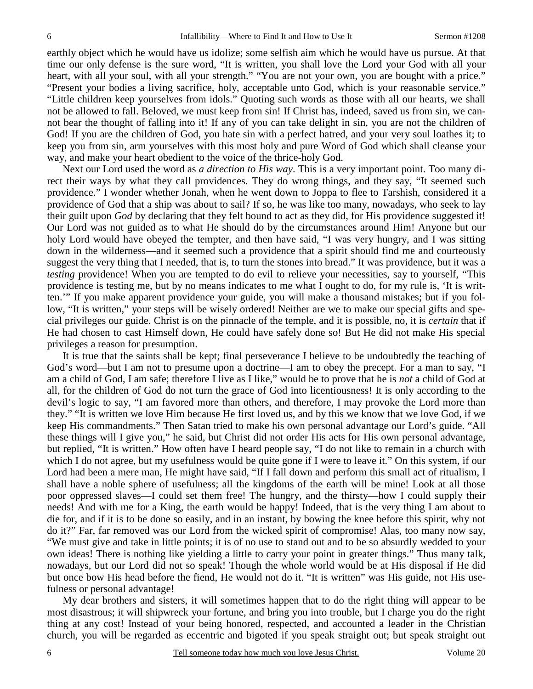earthly object which he would have us idolize; some selfish aim which he would have us pursue. At that time our only defense is the sure word, "It is written, you shall love the Lord your God with all your heart, with all your soul, with all your strength." "You are not your own, you are bought with a price." "Present your bodies a living sacrifice, holy, acceptable unto God, which is your reasonable service." "Little children keep yourselves from idols." Quoting such words as those with all our hearts, we shall not be allowed to fall. Beloved, we must keep from sin! If Christ has, indeed, saved us from sin, we cannot bear the thought of falling into it! If any of you can take delight in sin, you are not the children of God! If you are the children of God, you hate sin with a perfect hatred, and your very soul loathes it; to keep you from sin, arm yourselves with this most holy and pure Word of God which shall cleanse your way, and make your heart obedient to the voice of the thrice-holy God.

Next our Lord used the word as *a direction to His way*. This is a very important point. Too many direct their ways by what they call providences. They do wrong things, and they say, "It seemed such providence." I wonder whether Jonah, when he went down to Joppa to flee to Tarshish, considered it a providence of God that a ship was about to sail? If so, he was like too many, nowadays, who seek to lay their guilt upon *God* by declaring that they felt bound to act as they did, for His providence suggested it! Our Lord was not guided as to what He should do by the circumstances around Him! Anyone but our holy Lord would have obeyed the tempter, and then have said, "I was very hungry, and I was sitting down in the wilderness—and it seemed such a providence that a spirit should find me and courteously suggest the very thing that I needed, that is, to turn the stones into bread." It was providence, but it was a *testing* providence! When you are tempted to do evil to relieve your necessities, say to yourself, "This providence is testing me, but by no means indicates to me what I ought to do, for my rule is, 'It is written.'" If you make apparent providence your guide, you will make a thousand mistakes; but if you follow, "It is written," your steps will be wisely ordered! Neither are we to make our special gifts and special privileges our guide. Christ is on the pinnacle of the temple, and it is possible, no, it is *certain* that if He had chosen to cast Himself down, He could have safely done so! But He did not make His special privileges a reason for presumption.

It is true that the saints shall be kept; final perseverance I believe to be undoubtedly the teaching of God's word—but I am not to presume upon a doctrine—I am to obey the precept. For a man to say, "I am a child of God, I am safe; therefore I live as I like," would be to prove that he is *not* a child of God at all, for the children of God do not turn the grace of God into licentiousness! It is only according to the devil's logic to say, "I am favored more than others, and therefore, I may provoke the Lord more than they." "It is written we love Him because He first loved us, and by this we know that we love God, if we keep His commandments." Then Satan tried to make his own personal advantage our Lord's guide. "All these things will I give you," he said, but Christ did not order His acts for His own personal advantage, but replied, "It is written." How often have I heard people say, "I do not like to remain in a church with which I do not agree, but my usefulness would be quite gone if I were to leave it." On this system, if our Lord had been a mere man, He might have said, "If I fall down and perform this small act of ritualism, I shall have a noble sphere of usefulness; all the kingdoms of the earth will be mine! Look at all those poor oppressed slaves—I could set them free! The hungry, and the thirsty—how I could supply their needs! And with me for a King, the earth would be happy! Indeed, that is the very thing I am about to die for, and if it is to be done so easily, and in an instant, by bowing the knee before this spirit, why not do it?" Far, far removed was our Lord from the wicked spirit of compromise! Alas, too many now say, "We must give and take in little points; it is of no use to stand out and to be so absurdly wedded to your own ideas! There is nothing like yielding a little to carry your point in greater things." Thus many talk, nowadays, but our Lord did not so speak! Though the whole world would be at His disposal if He did but once bow His head before the fiend, He would not do it. "It is written" was His guide, not His usefulness or personal advantage!

My dear brothers and sisters, it will sometimes happen that to do the right thing will appear to be most disastrous; it will shipwreck your fortune, and bring you into trouble, but I charge you do the right thing at any cost! Instead of your being honored, respected, and accounted a leader in the Christian church, you will be regarded as eccentric and bigoted if you speak straight out; but speak straight out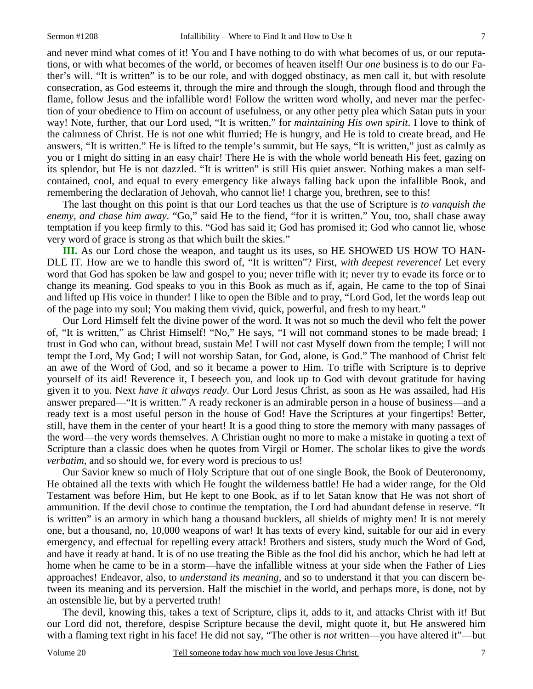and never mind what comes of it! You and I have nothing to do with what becomes of us, or our reputations, or with what becomes of the world, or becomes of heaven itself! Our *one* business is to do our Father's will. "It is written" is to be our role, and with dogged obstinacy, as men call it, but with resolute consecration, as God esteems it, through the mire and through the slough, through flood and through the flame, follow Jesus and the infallible word! Follow the written word wholly, and never mar the perfection of your obedience to Him on account of usefulness, or any other petty plea which Satan puts in your way! Note, further, that our Lord used, "It is written," for *maintaining His own spirit*. I love to think of the calmness of Christ. He is not one whit flurried; He is hungry, and He is told to create bread, and He answers, "It is written." He is lifted to the temple's summit, but He says, "It is written," just as calmly as you or I might do sitting in an easy chair! There He is with the whole world beneath His feet, gazing on its splendor, but He is not dazzled. "It is written" is still His quiet answer. Nothing makes a man selfcontained, cool, and equal to every emergency like always falling back upon the infallible Book, and remembering the declaration of Jehovah, who cannot lie! I charge you, brethren, see to this!

The last thought on this point is that our Lord teaches us that the use of Scripture is *to vanquish the enemy, and chase him away*. "Go," said He to the fiend, "for it is written." You, too, shall chase away temptation if you keep firmly to this. "God has said it; God has promised it; God who cannot lie, whose very word of grace is strong as that which built the skies."

**III.** As our Lord chose the weapon, and taught us its uses, so HE SHOWED US HOW TO HAN-DLE IT. How are we to handle this sword of, "It is written"? First, *with deepest reverence!* Let every word that God has spoken be law and gospel to you; never trifle with it; never try to evade its force or to change its meaning. God speaks to you in this Book as much as if, again, He came to the top of Sinai and lifted up His voice in thunder! I like to open the Bible and to pray, "Lord God, let the words leap out of the page into my soul; You making them vivid, quick, powerful, and fresh to my heart."

Our Lord Himself felt the divine power of the word. It was not so much the devil who felt the power of, "It is written," as Christ Himself! "No," He says, "I will not command stones to be made bread; I trust in God who can, without bread, sustain Me! I will not cast Myself down from the temple; I will not tempt the Lord, My God; I will not worship Satan, for God, alone, is God." The manhood of Christ felt an awe of the Word of God, and so it became a power to Him. To trifle with Scripture is to deprive yourself of its aid! Reverence it, I beseech you, and look up to God with devout gratitude for having given it to you. Next *have it always ready*. Our Lord Jesus Christ, as soon as He was assailed, had His answer prepared—"It is written." A ready reckoner is an admirable person in a house of business—and a ready text is a most useful person in the house of God! Have the Scriptures at your fingertips! Better, still, have them in the center of your heart! It is a good thing to store the memory with many passages of the word—the very words themselves. A Christian ought no more to make a mistake in quoting a text of Scripture than a classic does when he quotes from Virgil or Homer. The scholar likes to give the *words verbatim,* and so should we, for every word is precious to us!

Our Savior knew so much of Holy Scripture that out of one single Book, the Book of Deuteronomy, He obtained all the texts with which He fought the wilderness battle! He had a wider range, for the Old Testament was before Him, but He kept to one Book, as if to let Satan know that He was not short of ammunition. If the devil chose to continue the temptation, the Lord had abundant defense in reserve. "It is written" is an armory in which hang a thousand bucklers, all shields of mighty men! It is not merely one, but a thousand, no, 10,000 weapons of war! It has texts of every kind, suitable for our aid in every emergency, and effectual for repelling every attack! Brothers and sisters, study much the Word of God, and have it ready at hand. It is of no use treating the Bible as the fool did his anchor, which he had left at home when he came to be in a storm—have the infallible witness at your side when the Father of Lies approaches! Endeavor, also, to *understand its meaning,* and so to understand it that you can discern between its meaning and its perversion. Half the mischief in the world, and perhaps more, is done, not by an ostensible lie, but by a perverted truth!

The devil, knowing this, takes a text of Scripture, clips it, adds to it, and attacks Christ with it! But our Lord did not, therefore, despise Scripture because the devil, might quote it, but He answered him with a flaming text right in his face! He did not say, "The other is *not* written—you have altered it"—but